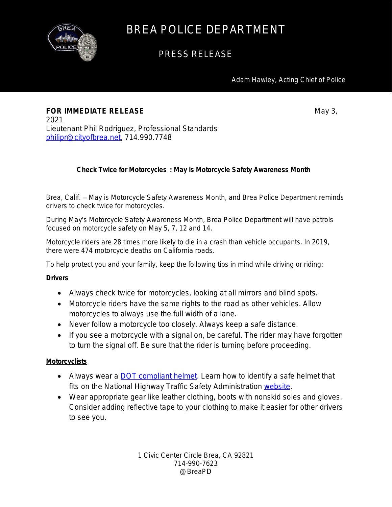

## BREA POLICE DEPARTMENT

### PRESS RELEASE

Adam Hawley, Acting Chief of Police

**FOR IMMEDIATE RELEASE** May 3, 2021 Lieutenant Phil Rodriguez, Professional Standards [philipr@cityofbrea.net,](mailto:philipr@cityofbrea.net) 714.990.7748

### **Check Twice for Motorcycles : May is Motorcycle Safety Awareness Month**

Brea, Calif. — May is Motorcycle Safety Awareness Month, and Brea Police Department reminds drivers to check twice for motorcycles.

During May's Motorcycle Safety Awareness Month, Brea Police Department will have patrols focused on motorcycle safety on May 5, 7, 12 and 14.

Motorcycle riders are 28 times more likely to die in a crash than vehicle occupants. In 2019, there were 474 motorcycle deaths on California roads.

To help protect you and your family, keep the following tips in mind while driving or riding:

#### **Drivers**

- Always check twice for motorcycles, looking at all mirrors and blind spots.
- Motorcycle riders have the same rights to the road as other vehicles. Allow motorcycles to always use the full width of a lane.
- Never follow a motorcycle too closely. Always keep a safe distance.
- If you see a motorcycle with a signal on, be careful. The rider may have forgotten to turn the signal off. Be sure that the rider is turning before proceeding.

#### **Motorcyclists**

- Always wear a **DOT compliant helmet**. Learn how to identify a safe helmet that fits on the National Highway Traffic Safety Administration [website.](https://www.nhtsa.gov/motorcycle-safety/choose-right-motorcycle-helmet)
- Wear appropriate gear like leather clothing, boots with nonskid soles and gloves. Consider adding reflective tape to your clothing to make it easier for other drivers to see you.

1 Civic Center Circle Brea, CA 92821 714-990-7623 @BreaPD